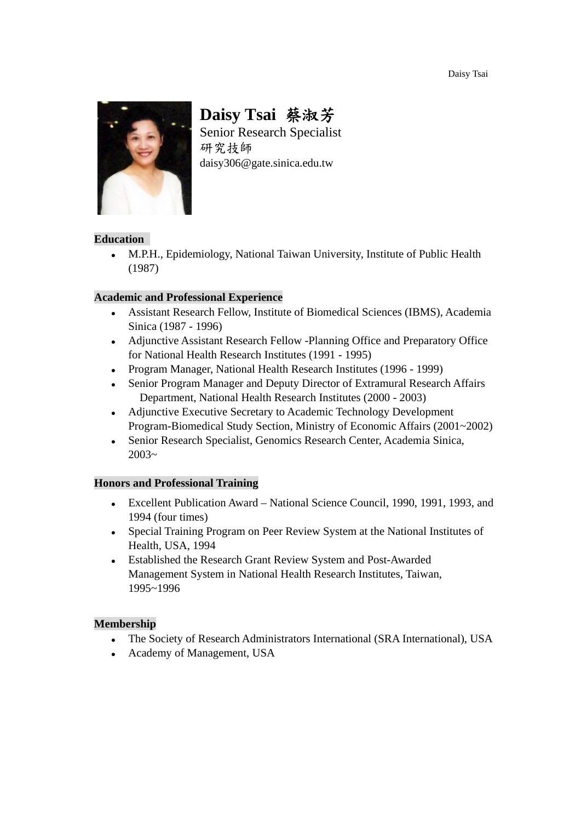Daisy Tsai

![](_page_0_Picture_1.jpeg)

# **Daisy Tsai** 蔡淑芳

Senior Research Specialist 研究技師 daisy306@gate.sinica.edu.tw

## **Education**

 M.P.H., Epidemiology, National Taiwan University, Institute of Public Health (1987)

## **Academic and Professional Experience**

- Assistant Research Fellow, Institute of Biomedical Sciences (IBMS), Academia Sinica (1987 - 1996)
- Adjunctive Assistant Research Fellow -Planning Office and Preparatory Office for National Health Research Institutes (1991 - 1995)
- Program Manager, National Health Research Institutes (1996 1999)
- Senior Program Manager and Deputy Director of Extramural Research Affairs Department, National Health Research Institutes (2000 - 2003)
- Adjunctive Executive Secretary to Academic Technology Development Program-Biomedical Study Section, Ministry of Economic Affairs (2001~2002)
- Senior Research Specialist, Genomics Research Center, Academia Sinica,  $2003 -$

### **Honors and Professional Training**

- Excellent Publication Award National Science Council, 1990, 1991, 1993, and 1994 (four times)
- Special Training Program on Peer Review System at the National Institutes of Health, USA, 1994
- Established the Research Grant Review System and Post-Awarded Management System in National Health Research Institutes, Taiwan, 1995~1996

### **Membership**

- The Society of Research Administrators International (SRA International), USA
- Academy of Management, USA